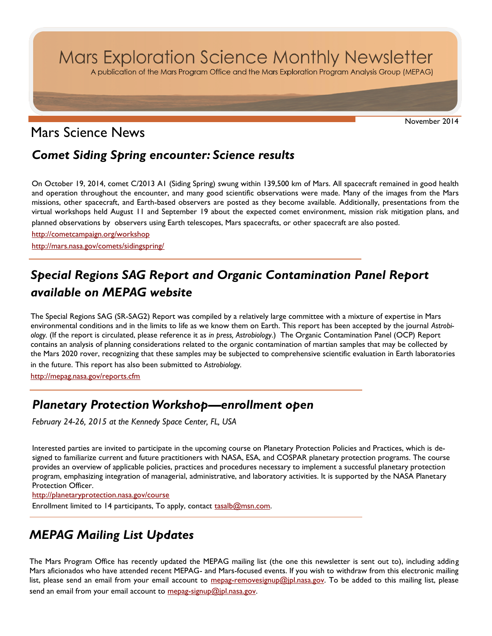Mars Exploration Science Monthly Newsletter

A publication of the Mars Program Office and the Mars Exploration Program Analysis Group (MEPAG)

November 2014

## Mars Science News

### *Comet Siding Spring encounter: Science results*

On October 19, 2014, comet C/2013 A1 (Siding Spring) swung within 139,500 km of Mars. All spacecraft remained in good health and operation throughout the encounter, and many good scientific observations were made. Many of the images from the Mars missions, other spacecraft, and Earth-based observers are posted as they become available. Additionally, presentations from the virtual workshops held August 11 and September 19 about the expected comet environment, mission risk mitigation plans, and planned observations by observers using Earth telescopes, Mars spacecrafts, or other spacecraft are also posted.

<http://cometcampaign.org/workshop> <http://mars.nasa.gov/comets/sidingspring/>

# *Special Regions SAG Report and Organic Contamination Panel Report available on MEPAG website*

The Special Regions SAG (SR-SAG2) Report was compiled by a relatively large committee with a mixture of expertise in Mars environmental conditions and in the limits to life as we know them on Earth. This report has been accepted by the journal *Astrobiology.* (If the report is circulated, please reference it as *in press, Astrobiology*.) The Organic Contamination Panel (OCP) Report contains an analysis of planning considerations related to the organic contamination of martian samples that may be collected by the Mars 2020 rover, recognizing that these samples may be subjected to comprehensive scientific evaluation in Earth laboratories in the future. This report has also been submitted to *Astrobiology.*

<http://mepag.nasa.gov/reports.cfm>

#### *Planetary Protection Workshop—enrollment open*

*February 24-26, 2015 at the Kennedy Space Center, FL, USA*

Interested parties are invited to participate in the upcoming course on Planetary Protection Policies and Practices, which is designed to familiarize current and future practitioners with NASA, ESA, and COSPAR planetary protection programs. The course provides an overview of applicable policies, practices and procedures necessary to implement a successful planetary protection program, emphasizing integration of managerial, administrative, and laboratory activities. It is supported by the NASA Planetary Protection Officer.

<http://planetaryprotection.nasa.gov/course>

Enrollment limited to 14 participants, To apply, contact [tasalb@msn.com.](mailto:tasalb@msn.com)

## *MEPAG Mailing List Updates*

The Mars Program Office has recently updated the MEPAG mailing list (the one this newsletter is sent out to), including adding Mars aficionados who have attended recent MEPAG- and Mars-focused events. If you wish to withdraw from this electronic mailing list, please send an email from your email account to <u>mepag-removesignup@jpl.nasa.gov</u>. To be added to this mailing list, please send an email from your email account to [mepag-signup@jpl.nasa.gov.](mailto:mepag-signup@jpl.nasa.gov)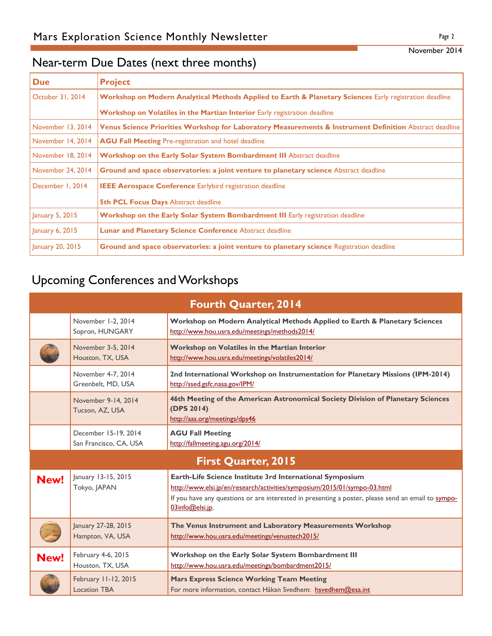## Near-term Due Dates (next three months)

| <b>Due</b>        | <b>Project</b>                                                                                          |  |  |
|-------------------|---------------------------------------------------------------------------------------------------------|--|--|
| October 31, 2014  | Workshop on Modern Analytical Methods Applied to Earth & Planetary Sciences Early registration deadline |  |  |
|                   | <b>Workshop on Volatiles in the Martian Interior</b> Early registration deadline                        |  |  |
| November 13, 2014 | Venus Science Priorities Workshop for Laboratory Measurements & Instrument Definition Abstract deadline |  |  |
| November 14, 2014 | <b>AGU Fall Meeting Pre-registration and hotel deadline</b>                                             |  |  |
| November 18, 2014 | <b>Workshop on the Early Solar System Bombardment III</b> Abstract deadline                             |  |  |
| November 24, 2014 | Ground and space observatories: a joint venture to planetary science Abstract deadline                  |  |  |
| December 1, 2014  | <b>IEEE Aerospace Conference Earlybird registration deadline</b>                                        |  |  |
|                   | <b>5th PCL Focus Days Abstract deadline</b>                                                             |  |  |
| January 5, 2015   | Workshop on the Early Solar System Bombardment III Early registration deadline                          |  |  |
| January $6, 2015$ | <b>Lunar and Planetary Science Conference Abstract deadline</b>                                         |  |  |
| January 20, 2015  | <b>Ground and space observatories: a joint venture to planetary science Registration deadline</b>       |  |  |

# Upcoming Conferences and Workshops

| <b>Fourth Quarter, 2014</b> |                                                |                                                                                                                                                                                                                                                                       |  |
|-----------------------------|------------------------------------------------|-----------------------------------------------------------------------------------------------------------------------------------------------------------------------------------------------------------------------------------------------------------------------|--|
|                             | November 1-2, 2014<br>Sopron, HUNGARY          | Workshop on Modern Analytical Methods Applied to Earth & Planetary Sciences<br>http://www.hou.usra.edu/meetings/methods2014/                                                                                                                                          |  |
|                             | November 3-5, 2014<br>Houston, TX, USA         | Workshop on Volatiles in the Martian Interior<br>http://www.hou.usra.edu/meetings/volatiles2014/                                                                                                                                                                      |  |
|                             | November 4-7, 2014<br>Greenbelt, MD, USA       | 2nd International Workshop on Instrumentation for Planetary Missions (IPM-2014)<br>http://ssed.gsfc.nasa.gov/IPM/                                                                                                                                                     |  |
|                             | November 9-14, 2014<br>Tucson, AZ, USA         | 46th Meeting of the American Astronomical Society Division of Planetary Sciences<br>(DPS 2014)<br>http://aas.org/meetings/dps46                                                                                                                                       |  |
|                             | December 15-19, 2014<br>San Francisco, CA, USA | <b>AGU Fall Meeting</b><br>http://fallmeeting.agu.org/2014/                                                                                                                                                                                                           |  |
| <b>First Quarter, 2015</b>  |                                                |                                                                                                                                                                                                                                                                       |  |
| New!                        | January 13-15, 2015<br>Tokyo, JAPAN            | Earth-Life Science Institute 3rd International Symposium<br>http://www.elsi.jp/en/research/activities/symposium/2015/01/sympo-03.html<br>If you have any questions or are interested in presenting a poster, please send an email to <b>sympo-</b><br>03info@elsi.jp. |  |
|                             | January 27-28, 2015<br>Hampton, VA, USA        | The Venus Instrument and Laboratory Measurements Workshop<br>http://www.hou.usra.edu/meetings/venustech2015/                                                                                                                                                          |  |
| New!                        | February 4-6, 2015<br>Houston, TX, USA         | Workshop on the Early Solar System Bombardment III<br>http://www.hou.usra.edu/meetings/bombardment2015/                                                                                                                                                               |  |
|                             | February 11-12, 2015<br><b>Location TBA</b>    | <b>Mars Express Science Working Team Meeting</b><br>For more information, contact Håkan Svedhem: hsvedhem@esa.int                                                                                                                                                     |  |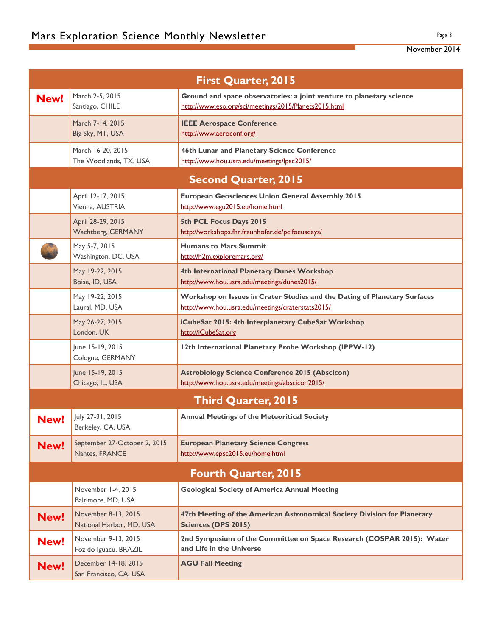| <b>First Quarter, 2015</b>  |                                                 |                                                                                                                                |  |
|-----------------------------|-------------------------------------------------|--------------------------------------------------------------------------------------------------------------------------------|--|
| New!                        | March 2-5, 2015<br>Santiago, CHILE              | Ground and space observatories: a joint venture to planetary science<br>http://www.eso.org/sci/meetings/2015/Planets2015.html  |  |
|                             | March 7-14, 2015<br>Big Sky, MT, USA            | <b>IEEE Aerospace Conference</b><br>http://www.aeroconf.org/                                                                   |  |
|                             | March 16-20, 2015<br>The Woodlands, TX, USA     | 46th Lunar and Planetary Science Conference<br>http://www.hou.usra.edu/meetings/lpsc2015/                                      |  |
|                             |                                                 | <b>Second Quarter, 2015</b>                                                                                                    |  |
|                             | April 12-17, 2015<br>Vienna, AUSTRIA            | <b>European Geosciences Union General Assembly 2015</b><br>http://www.egu2015.eu/home.html                                     |  |
|                             | April 28-29, 2015<br>Wachtberg, GERMANY         | 5th PCL Focus Days 2015<br>http://workshops.fhr.fraunhofer.de/pclfocusdays/                                                    |  |
|                             | May 5-7, 2015<br>Washington, DC, USA            | <b>Humans to Mars Summit</b><br>http://h2m.exploremars.org/                                                                    |  |
|                             | May 19-22, 2015<br>Boise, ID, USA               | 4th International Planetary Dunes Workshop<br>http://www.hou.usra.edu/meetings/dunes2015/                                      |  |
|                             | May 19-22, 2015<br>Laural, MD, USA              | Workshop on Issues in Crater Studies and the Dating of Planetary Surfaces<br>http://www.hou.usra.edu/meetings/craterstats2015/ |  |
|                             | May 26-27, 2015<br>London, UK                   | iCubeSat 2015: 4th Interplanetary CubeSat Workshop<br>http://iCubeSat.org                                                      |  |
|                             | June 15-19, 2015<br>Cologne, GERMANY            | 12th International Planetary Probe Workshop (IPPW-12)                                                                          |  |
|                             | June 15-19, 2015<br>Chicago, IL, USA            | <b>Astrobiology Science Conference 2015 (Abscicon)</b><br>http://www.hou.usra.edu/meetings/abscicon2015/                       |  |
|                             |                                                 | <b>Third Quarter, 2015</b>                                                                                                     |  |
| New!                        | July 27-31, 2015<br>Berkeley, CA, USA           | <b>Annual Meetings of the Meteoritical Society</b>                                                                             |  |
| New!                        | September 27-October 2, 2015<br>Nantes, FRANCE  | <b>European Planetary Science Congress</b><br>http://www.epsc2015.eu/home.html                                                 |  |
| <b>Fourth Quarter, 2015</b> |                                                 |                                                                                                                                |  |
|                             | November 1-4, 2015<br>Baltimore, MD, USA        | <b>Geological Society of America Annual Meeting</b>                                                                            |  |
| New!                        | November 8-13, 2015<br>National Harbor, MD, USA | 47th Meeting of the American Astronomical Society Division for Planetary<br>Sciences (DPS 2015)                                |  |
| New!                        | November 9-13, 2015<br>Foz do Iguacu, BRAZIL    | 2nd Symposium of the Committee on Space Research (COSPAR 2015): Water<br>and Life in the Universe                              |  |
| New!                        | December 14-18, 2015<br>San Francisco, CA, USA  | <b>AGU Fall Meeting</b>                                                                                                        |  |